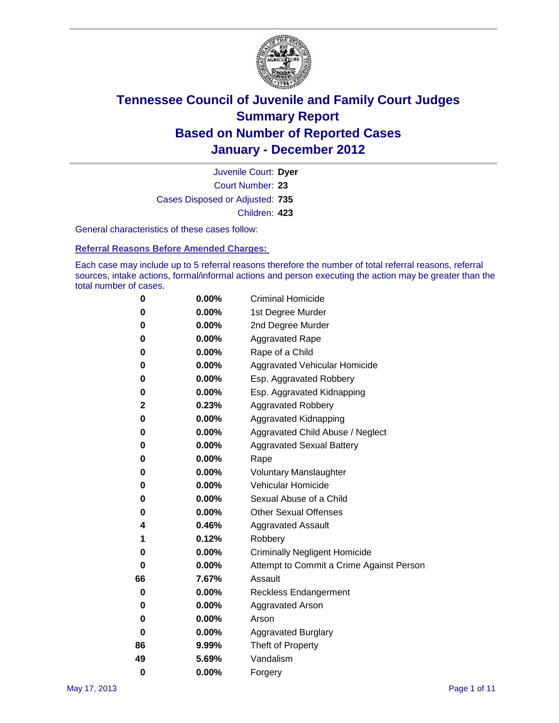

Court Number: **23** Juvenile Court: **Dyer** Cases Disposed or Adjusted: **735** Children: **423**

General characteristics of these cases follow:

**Referral Reasons Before Amended Charges:** 

Each case may include up to 5 referral reasons therefore the number of total referral reasons, referral sources, intake actions, formal/informal actions and person executing the action may be greater than the total number of cases.

| 0  | 0.00%    | <b>Criminal Homicide</b>                 |  |  |  |
|----|----------|------------------------------------------|--|--|--|
| 0  | 0.00%    | 1st Degree Murder                        |  |  |  |
| 0  | 0.00%    | 2nd Degree Murder                        |  |  |  |
| 0  | 0.00%    | <b>Aggravated Rape</b>                   |  |  |  |
| 0  | 0.00%    | Rape of a Child                          |  |  |  |
| 0  | 0.00%    | Aggravated Vehicular Homicide            |  |  |  |
| 0  | 0.00%    | Esp. Aggravated Robbery                  |  |  |  |
| 0  | 0.00%    | Esp. Aggravated Kidnapping               |  |  |  |
| 2  | 0.23%    | <b>Aggravated Robbery</b>                |  |  |  |
| 0  | 0.00%    | Aggravated Kidnapping                    |  |  |  |
| 0  | 0.00%    | Aggravated Child Abuse / Neglect         |  |  |  |
| 0  | $0.00\%$ | <b>Aggravated Sexual Battery</b>         |  |  |  |
| 0  | 0.00%    | Rape                                     |  |  |  |
| 0  | 0.00%    | <b>Voluntary Manslaughter</b>            |  |  |  |
| 0  | 0.00%    | Vehicular Homicide                       |  |  |  |
| 0  | 0.00%    | Sexual Abuse of a Child                  |  |  |  |
| 0  | 0.00%    | <b>Other Sexual Offenses</b>             |  |  |  |
| 4  | 0.46%    | <b>Aggravated Assault</b>                |  |  |  |
| 1  | 0.12%    | Robbery                                  |  |  |  |
| 0  | 0.00%    | <b>Criminally Negligent Homicide</b>     |  |  |  |
| 0  | 0.00%    | Attempt to Commit a Crime Against Person |  |  |  |
| 66 | 7.67%    | Assault                                  |  |  |  |
| 0  | 0.00%    | <b>Reckless Endangerment</b>             |  |  |  |
| 0  | 0.00%    | <b>Aggravated Arson</b>                  |  |  |  |
| 0  | 0.00%    | Arson                                    |  |  |  |
| 0  | 0.00%    | <b>Aggravated Burglary</b>               |  |  |  |
| 86 | 9.99%    | Theft of Property                        |  |  |  |
| 49 | 5.69%    | Vandalism                                |  |  |  |
| 0  | 0.00%    | Forgery                                  |  |  |  |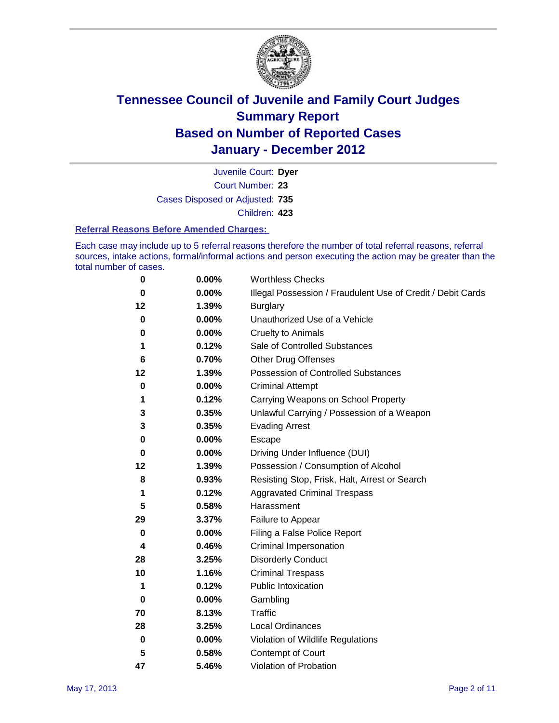

Court Number: **23** Juvenile Court: **Dyer** Cases Disposed or Adjusted: **735** Children: **423**

#### **Referral Reasons Before Amended Charges:**

Each case may include up to 5 referral reasons therefore the number of total referral reasons, referral sources, intake actions, formal/informal actions and person executing the action may be greater than the total number of cases.

| 0         | 0.00% | <b>Worthless Checks</b>                                     |
|-----------|-------|-------------------------------------------------------------|
| $\bf{0}$  | 0.00% | Illegal Possession / Fraudulent Use of Credit / Debit Cards |
| 12        | 1.39% | <b>Burglary</b>                                             |
| 0         | 0.00% | Unauthorized Use of a Vehicle                               |
| 0         | 0.00% | <b>Cruelty to Animals</b>                                   |
| 1         | 0.12% | Sale of Controlled Substances                               |
| 6         | 0.70% | <b>Other Drug Offenses</b>                                  |
| 12        | 1.39% | Possession of Controlled Substances                         |
| 0         | 0.00% | <b>Criminal Attempt</b>                                     |
| 1         | 0.12% | Carrying Weapons on School Property                         |
| 3         | 0.35% | Unlawful Carrying / Possession of a Weapon                  |
| 3         | 0.35% | <b>Evading Arrest</b>                                       |
| 0         | 0.00% | Escape                                                      |
| 0         | 0.00% | Driving Under Influence (DUI)                               |
| 12        | 1.39% | Possession / Consumption of Alcohol                         |
| 8         | 0.93% | Resisting Stop, Frisk, Halt, Arrest or Search               |
| 1         | 0.12% | <b>Aggravated Criminal Trespass</b>                         |
| 5         | 0.58% | Harassment                                                  |
| 29        | 3.37% | Failure to Appear                                           |
| 0         | 0.00% | Filing a False Police Report                                |
| 4         | 0.46% | Criminal Impersonation                                      |
| 28        | 3.25% | <b>Disorderly Conduct</b>                                   |
| 10        | 1.16% | <b>Criminal Trespass</b>                                    |
| 1         | 0.12% | <b>Public Intoxication</b>                                  |
| 0         | 0.00% | Gambling                                                    |
| 70        | 8.13% | <b>Traffic</b>                                              |
| 28        | 3.25% | <b>Local Ordinances</b>                                     |
| $\pmb{0}$ | 0.00% | Violation of Wildlife Regulations                           |
| 5         | 0.58% | Contempt of Court                                           |
| 47        | 5.46% | Violation of Probation                                      |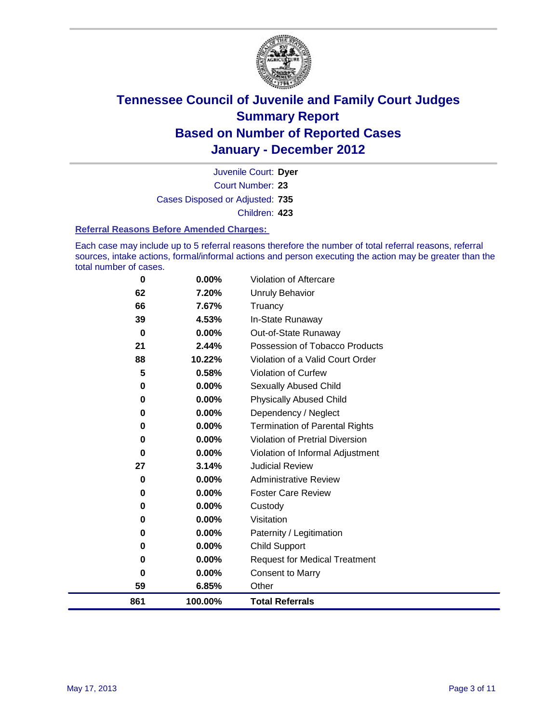

Court Number: **23** Juvenile Court: **Dyer** Cases Disposed or Adjusted: **735** Children: **423**

#### **Referral Reasons Before Amended Charges:**

Each case may include up to 5 referral reasons therefore the number of total referral reasons, referral sources, intake actions, formal/informal actions and person executing the action may be greater than the total number of cases.

| 0        | $0.00\%$ | <b>Violation of Aftercare</b>          |
|----------|----------|----------------------------------------|
| 62       | 7.20%    | <b>Unruly Behavior</b>                 |
| 66       | 7.67%    | Truancy                                |
| 39       | 4.53%    | In-State Runaway                       |
| $\bf{0}$ | 0.00%    | Out-of-State Runaway                   |
| 21       | 2.44%    | Possession of Tobacco Products         |
| 88       | 10.22%   | Violation of a Valid Court Order       |
| 5        | 0.58%    | <b>Violation of Curfew</b>             |
| 0        | $0.00\%$ | Sexually Abused Child                  |
| 0        | $0.00\%$ | <b>Physically Abused Child</b>         |
| 0        | 0.00%    | Dependency / Neglect                   |
| 0        | 0.00%    | <b>Termination of Parental Rights</b>  |
| 0        | 0.00%    | <b>Violation of Pretrial Diversion</b> |
| 0        | 0.00%    | Violation of Informal Adjustment       |
| 27       | 3.14%    | <b>Judicial Review</b>                 |
| 0        | $0.00\%$ | <b>Administrative Review</b>           |
| 0        | $0.00\%$ | <b>Foster Care Review</b>              |
| 0        | 0.00%    | Custody                                |
| 0        | 0.00%    | Visitation                             |
| 0        | 0.00%    | Paternity / Legitimation               |
| 0        | 0.00%    | <b>Child Support</b>                   |
| 0        | 0.00%    | <b>Request for Medical Treatment</b>   |
| 0        | $0.00\%$ | <b>Consent to Marry</b>                |
| 59       | 6.85%    | Other                                  |
| 861      | 100.00%  | <b>Total Referrals</b>                 |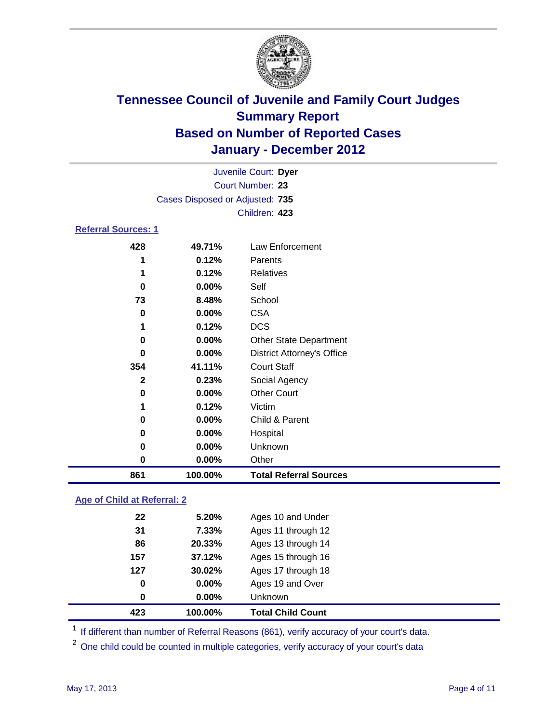

|                                 | Juvenile Court: Dyer |                                   |  |  |  |  |
|---------------------------------|----------------------|-----------------------------------|--|--|--|--|
| <b>Court Number: 23</b>         |                      |                                   |  |  |  |  |
| Cases Disposed or Adjusted: 735 |                      |                                   |  |  |  |  |
|                                 | Children: 423        |                                   |  |  |  |  |
| <b>Referral Sources: 1</b>      |                      |                                   |  |  |  |  |
| 428                             | 49.71%               | Law Enforcement                   |  |  |  |  |
| 1                               | 0.12%                | Parents                           |  |  |  |  |
| 1                               | 0.12%                | Relatives                         |  |  |  |  |
| 0                               | $0.00\%$             | Self                              |  |  |  |  |
| 73                              | 8.48%                | School                            |  |  |  |  |
| 0                               | $0.00\%$             | <b>CSA</b>                        |  |  |  |  |
| 1                               | 0.12%                | <b>DCS</b>                        |  |  |  |  |
| 0                               | $0.00\%$             | <b>Other State Department</b>     |  |  |  |  |
| O                               | $0.00\%$             | <b>District Attorney's Office</b> |  |  |  |  |
| 354                             | 41.11%               | <b>Court Staff</b>                |  |  |  |  |
| $\mathbf{2}$                    | 0.23%                | Social Agency                     |  |  |  |  |
| 0                               | $0.00\%$             | <b>Other Court</b>                |  |  |  |  |
|                                 |                      |                                   |  |  |  |  |

| 861      | 100.00%  | <b>Total Referral Sources</b> |
|----------|----------|-------------------------------|
| 0        | $0.00\%$ | Other                         |
| 0        | $0.00\%$ | <b>Unknown</b>                |
| 0        | $0.00\%$ | Hospital                      |
| $\bf{0}$ | $0.00\%$ | Child & Parent                |
|          | 0.12%    | Victim                        |

### **Age of Child at Referral: 2**

| 0   | $0.00\%$ | <b>Unknown</b>     |  |
|-----|----------|--------------------|--|
|     |          |                    |  |
| 0   |          | Ages 19 and Over   |  |
| 127 | 30.02%   | Ages 17 through 18 |  |
| 157 | 37.12%   | Ages 15 through 16 |  |
| 86  | 20.33%   | Ages 13 through 14 |  |
| 31  | 7.33%    | Ages 11 through 12 |  |
| 22  | 5.20%    | Ages 10 and Under  |  |
|     |          | 0.00%              |  |

<sup>1</sup> If different than number of Referral Reasons (861), verify accuracy of your court's data.

<sup>2</sup> One child could be counted in multiple categories, verify accuracy of your court's data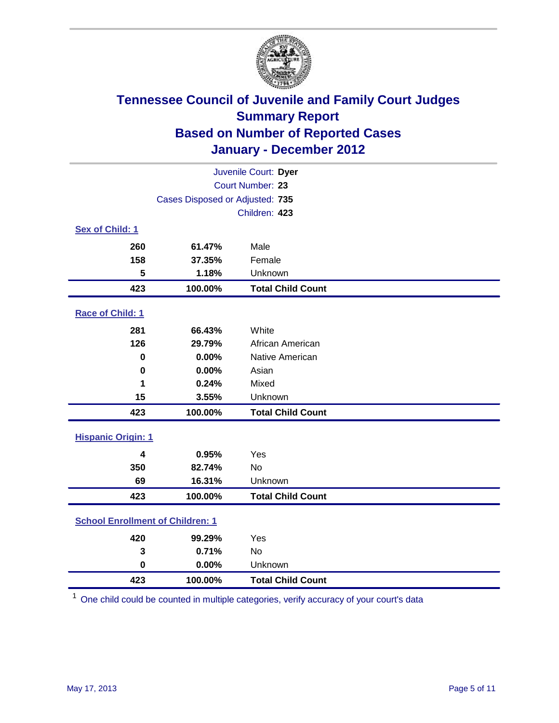

| Juvenile Court: Dyer                    |                                 |                          |  |  |
|-----------------------------------------|---------------------------------|--------------------------|--|--|
|                                         | Court Number: 23                |                          |  |  |
|                                         | Cases Disposed or Adjusted: 735 |                          |  |  |
|                                         | Children: 423                   |                          |  |  |
| Sex of Child: 1                         |                                 |                          |  |  |
| 260                                     | 61.47%                          | Male                     |  |  |
| 158                                     | 37.35%                          | Female                   |  |  |
| 5                                       | 1.18%                           | Unknown                  |  |  |
| 423                                     | 100.00%                         | <b>Total Child Count</b> |  |  |
| Race of Child: 1                        |                                 |                          |  |  |
| 281                                     | 66.43%                          | White                    |  |  |
| 126                                     | 29.79%                          | African American         |  |  |
| 0                                       | 0.00%                           | Native American          |  |  |
| $\mathbf 0$                             | 0.00%                           | Asian                    |  |  |
| 1                                       | 0.24%                           | Mixed                    |  |  |
| 15                                      | 3.55%                           | Unknown                  |  |  |
| 423                                     | 100.00%                         | <b>Total Child Count</b> |  |  |
| <b>Hispanic Origin: 1</b>               |                                 |                          |  |  |
| 4                                       | 0.95%                           | Yes                      |  |  |
| 350                                     | 82.74%                          | <b>No</b>                |  |  |
| 69                                      | 16.31%                          | Unknown                  |  |  |
| 423                                     | 100.00%                         | <b>Total Child Count</b> |  |  |
| <b>School Enrollment of Children: 1</b> |                                 |                          |  |  |
| 420                                     | 99.29%                          | Yes                      |  |  |
| 3                                       | 0.71%                           | No                       |  |  |
| $\mathbf 0$                             | 0.00%                           | Unknown                  |  |  |
| 423                                     | 100.00%                         | <b>Total Child Count</b> |  |  |

One child could be counted in multiple categories, verify accuracy of your court's data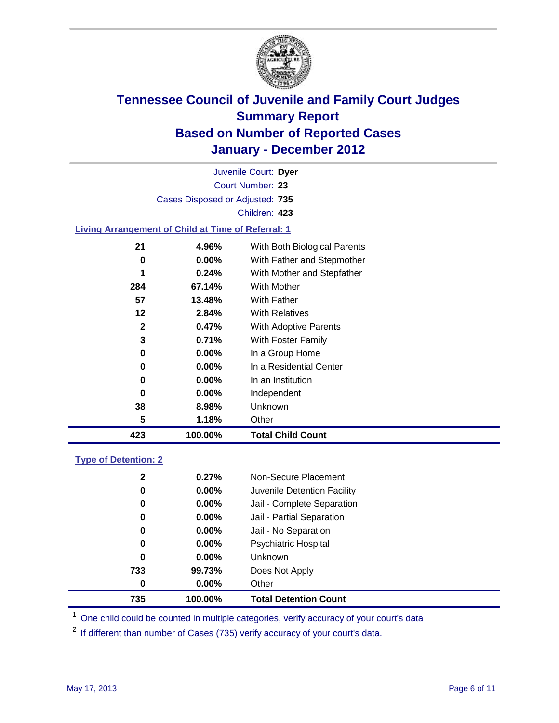

Court Number: **23** Juvenile Court: **Dyer** Cases Disposed or Adjusted: **735** Children: **423**

### **Living Arrangement of Child at Time of Referral: 1**

| 423 | 100.00%  | <b>Total Child Count</b>     |  |
|-----|----------|------------------------------|--|
| 5   | 1.18%    | Other                        |  |
| 38  | 8.98%    | Unknown                      |  |
| 0   | $0.00\%$ | Independent                  |  |
| 0   | $0.00\%$ | In an Institution            |  |
| 0   | $0.00\%$ | In a Residential Center      |  |
| 0   | $0.00\%$ | In a Group Home              |  |
| 3   | 0.71%    | With Foster Family           |  |
| 2   | 0.47%    | With Adoptive Parents        |  |
| 12  | 2.84%    | <b>With Relatives</b>        |  |
| 57  | 13.48%   | <b>With Father</b>           |  |
| 284 | 67.14%   | With Mother                  |  |
| 1   | 0.24%    | With Mother and Stepfather   |  |
| 0   | $0.00\%$ | With Father and Stepmother   |  |
| 21  | 4.96%    | With Both Biological Parents |  |
|     |          |                              |  |

#### **Type of Detention: 2**

| 735          | 100.00%  | <b>Total Detention Count</b> |  |
|--------------|----------|------------------------------|--|
| $\bf{0}$     | 0.00%    | Other                        |  |
| 733          | 99.73%   | Does Not Apply               |  |
| 0            | $0.00\%$ | Unknown                      |  |
| 0            | $0.00\%$ | Psychiatric Hospital         |  |
| 0            | 0.00%    | Jail - No Separation         |  |
| 0            | $0.00\%$ | Jail - Partial Separation    |  |
| 0            | $0.00\%$ | Jail - Complete Separation   |  |
| 0            | 0.00%    | Juvenile Detention Facility  |  |
| $\mathbf{2}$ | 0.27%    | Non-Secure Placement         |  |
|              |          |                              |  |

<sup>1</sup> One child could be counted in multiple categories, verify accuracy of your court's data

<sup>2</sup> If different than number of Cases (735) verify accuracy of your court's data.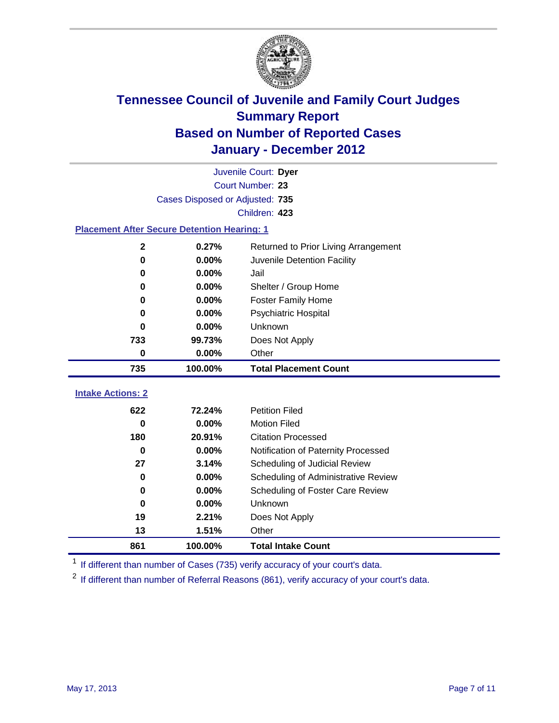

|                                                    | Juvenile Court: Dyer            |                                      |  |  |
|----------------------------------------------------|---------------------------------|--------------------------------------|--|--|
|                                                    | Court Number: 23                |                                      |  |  |
|                                                    | Cases Disposed or Adjusted: 735 |                                      |  |  |
|                                                    |                                 | Children: 423                        |  |  |
| <b>Placement After Secure Detention Hearing: 1</b> |                                 |                                      |  |  |
| $\mathbf 2$                                        | 0.27%                           | Returned to Prior Living Arrangement |  |  |
| $\bf{0}$                                           | 0.00%                           | Juvenile Detention Facility          |  |  |
| $\bf{0}$                                           | 0.00%                           | Jail                                 |  |  |
| $\bf{0}$                                           | 0.00%                           | Shelter / Group Home                 |  |  |
| $\bf{0}$                                           | 0.00%                           | <b>Foster Family Home</b>            |  |  |
| $\bf{0}$                                           | 0.00%                           | Psychiatric Hospital                 |  |  |
| 0                                                  | 0.00%                           | Unknown                              |  |  |
| 733                                                | 99.73%                          | Does Not Apply                       |  |  |
| $\bf{0}$                                           | 0.00%                           | Other                                |  |  |
|                                                    |                                 |                                      |  |  |
| 735                                                | 100.00%                         | <b>Total Placement Count</b>         |  |  |
| <b>Intake Actions: 2</b>                           |                                 |                                      |  |  |
| 622                                                | 72.24%                          | <b>Petition Filed</b>                |  |  |
| $\bf{0}$                                           | 0.00%                           | <b>Motion Filed</b>                  |  |  |
| 180                                                | 20.91%                          | <b>Citation Processed</b>            |  |  |
| $\bf{0}$                                           | 0.00%                           | Notification of Paternity Processed  |  |  |
| 27                                                 | 3.14%                           | Scheduling of Judicial Review        |  |  |
| $\bf{0}$                                           | 0.00%                           | Scheduling of Administrative Review  |  |  |
| 0                                                  | 0.00%                           | Scheduling of Foster Care Review     |  |  |
| $\bf{0}$                                           | 0.00%                           | Unknown                              |  |  |
| 19                                                 | 2.21%                           | Does Not Apply                       |  |  |
| 13                                                 | 1.51%                           | Other                                |  |  |

<sup>1</sup> If different than number of Cases (735) verify accuracy of your court's data.

<sup>2</sup> If different than number of Referral Reasons (861), verify accuracy of your court's data.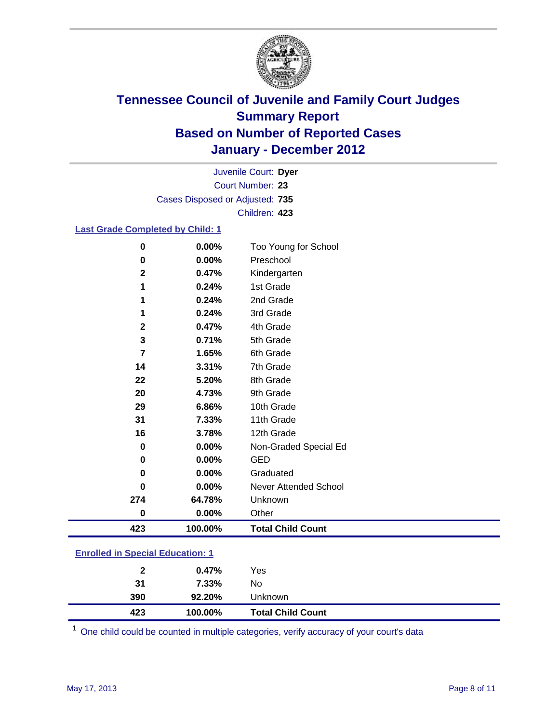

Court Number: **23** Juvenile Court: **Dyer** Cases Disposed or Adjusted: **735** Children: **423**

### **Last Grade Completed by Child: 1**

| 0                                       | 0.00%   | Too Young for School     |  |
|-----------------------------------------|---------|--------------------------|--|
| 0                                       | 0.00%   | Preschool                |  |
| $\mathbf{2}$                            | 0.47%   | Kindergarten             |  |
| 1                                       | 0.24%   | 1st Grade                |  |
| 1                                       | 0.24%   | 2nd Grade                |  |
| 1                                       | 0.24%   | 3rd Grade                |  |
| $\mathbf{2}$                            | 0.47%   | 4th Grade                |  |
| 3                                       | 0.71%   | 5th Grade                |  |
| $\overline{7}$                          | 1.65%   | 6th Grade                |  |
| 14                                      | 3.31%   | 7th Grade                |  |
| 22                                      | 5.20%   | 8th Grade                |  |
| 20                                      | 4.73%   | 9th Grade                |  |
| 29                                      | 6.86%   | 10th Grade               |  |
| 31                                      | 7.33%   | 11th Grade               |  |
| 16                                      | 3.78%   | 12th Grade               |  |
| 0                                       | 0.00%   | Non-Graded Special Ed    |  |
| $\bf{0}$                                | 0.00%   | <b>GED</b>               |  |
| $\mathbf 0$                             | 0.00%   | Graduated                |  |
| 0                                       | 0.00%   | Never Attended School    |  |
| 274                                     | 64.78%  | Unknown                  |  |
| 0                                       | 0.00%   | Other                    |  |
| 423                                     | 100.00% | <b>Total Child Count</b> |  |
| <b>Enrolled in Special Education: 1</b> |         |                          |  |

| 423          | 100.00% | <b>Total Child Count</b> |
|--------------|---------|--------------------------|
| 390          | 92.20%  | Unknown                  |
| 31           | 7.33%   | No                       |
| $\mathbf{2}$ | 0.47%   | Yes                      |
|              |         |                          |

One child could be counted in multiple categories, verify accuracy of your court's data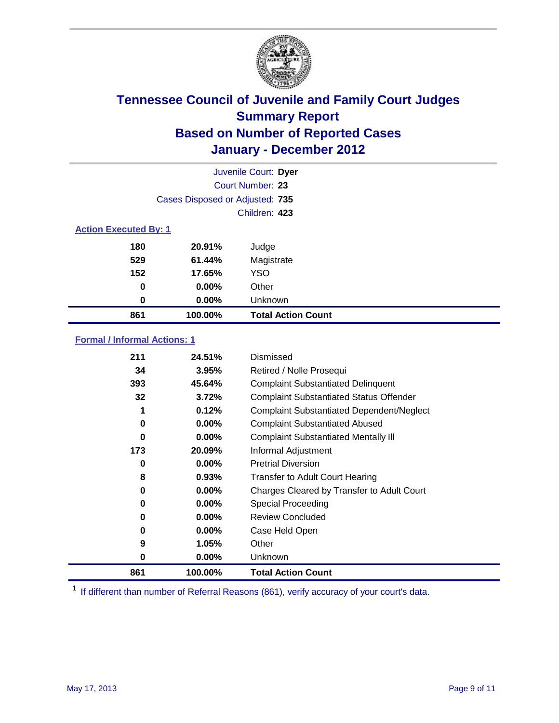

|                              |                                 | Juvenile Court: Dyer      |
|------------------------------|---------------------------------|---------------------------|
|                              |                                 | <b>Court Number: 23</b>   |
|                              | Cases Disposed or Adjusted: 735 |                           |
|                              |                                 | Children: 423             |
| <b>Action Executed By: 1</b> |                                 |                           |
| 180                          | 20.91%                          | Judge                     |
| 529                          | 61.44%                          | Magistrate                |
| 152                          | 17.65%                          | <b>YSO</b>                |
| 0                            | 0.00%                           | Other                     |
| 0                            | 0.00%                           | Unknown                   |
| 861                          | 100.00%                         | <b>Total Action Count</b> |

### **Formal / Informal Actions: 1**

| 211      | 24.51%   | Dismissed                                        |
|----------|----------|--------------------------------------------------|
| 34       | 3.95%    | Retired / Nolle Prosequi                         |
| 393      | 45.64%   | <b>Complaint Substantiated Delinquent</b>        |
| 32       | 3.72%    | <b>Complaint Substantiated Status Offender</b>   |
| 1        | 0.12%    | <b>Complaint Substantiated Dependent/Neglect</b> |
| 0        | 0.00%    | <b>Complaint Substantiated Abused</b>            |
| $\bf{0}$ | $0.00\%$ | <b>Complaint Substantiated Mentally III</b>      |
| 173      | 20.09%   | Informal Adjustment                              |
| 0        | $0.00\%$ | <b>Pretrial Diversion</b>                        |
| 8        | 0.93%    | <b>Transfer to Adult Court Hearing</b>           |
| 0        | 0.00%    | Charges Cleared by Transfer to Adult Court       |
| 0        | $0.00\%$ | Special Proceeding                               |
| 0        | $0.00\%$ | <b>Review Concluded</b>                          |
| 0        | $0.00\%$ | Case Held Open                                   |
| 9        | 1.05%    | Other                                            |
| 0        | $0.00\%$ | <b>Unknown</b>                                   |
| 861      | 100.00%  | <b>Total Action Count</b>                        |

<sup>1</sup> If different than number of Referral Reasons (861), verify accuracy of your court's data.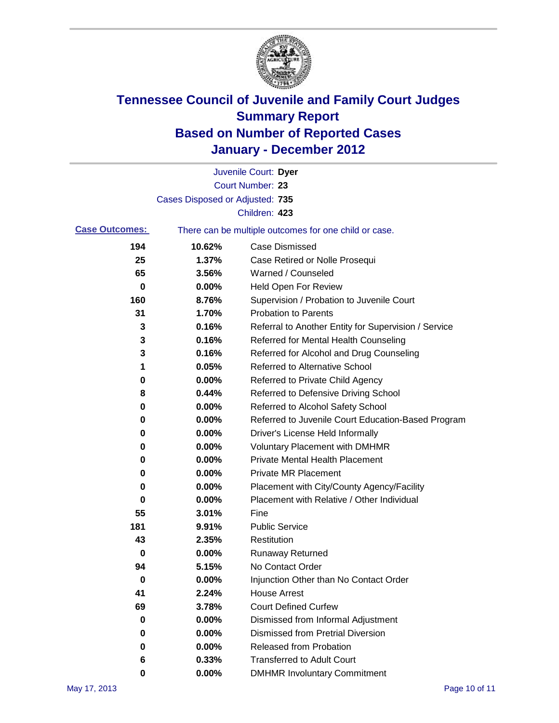

|                       |                                 | Juvenile Court: Dyer                                  |
|-----------------------|---------------------------------|-------------------------------------------------------|
|                       |                                 | Court Number: 23                                      |
|                       | Cases Disposed or Adjusted: 735 |                                                       |
|                       |                                 | Children: 423                                         |
| <b>Case Outcomes:</b> |                                 | There can be multiple outcomes for one child or case. |
| 194                   | 10.62%                          | <b>Case Dismissed</b>                                 |
| 25                    | 1.37%                           | Case Retired or Nolle Prosequi                        |
| 65                    | 3.56%                           | Warned / Counseled                                    |
| 0                     | 0.00%                           | Held Open For Review                                  |
| 160                   | 8.76%                           | Supervision / Probation to Juvenile Court             |
| 31                    | 1.70%                           | <b>Probation to Parents</b>                           |
| 3                     | 0.16%                           | Referral to Another Entity for Supervision / Service  |
| 3                     | 0.16%                           | Referred for Mental Health Counseling                 |
| 3                     | 0.16%                           | Referred for Alcohol and Drug Counseling              |
| 1                     | 0.05%                           | <b>Referred to Alternative School</b>                 |
| 0                     | 0.00%                           | Referred to Private Child Agency                      |
| 8                     | 0.44%                           | Referred to Defensive Driving School                  |
| 0                     | 0.00%                           | Referred to Alcohol Safety School                     |
| 0                     | 0.00%                           | Referred to Juvenile Court Education-Based Program    |
| 0                     | 0.00%                           | Driver's License Held Informally                      |
| 0                     | 0.00%                           | <b>Voluntary Placement with DMHMR</b>                 |
| 0                     | 0.00%                           | <b>Private Mental Health Placement</b>                |
| 0                     | 0.00%                           | <b>Private MR Placement</b>                           |
| 0                     | 0.00%                           | Placement with City/County Agency/Facility            |
| 0                     | 0.00%                           | Placement with Relative / Other Individual            |
| 55                    | 3.01%                           | Fine                                                  |
| 181                   | 9.91%                           | <b>Public Service</b>                                 |
| 43                    | 2.35%                           | Restitution                                           |
| 0                     | 0.00%                           | <b>Runaway Returned</b>                               |
| 94                    | 5.15%                           | No Contact Order                                      |
| 0                     | 0.00%                           | Injunction Other than No Contact Order                |
| 41                    | 2.24%                           | <b>House Arrest</b>                                   |
| 69                    | 3.78%                           | <b>Court Defined Curfew</b>                           |
| 0                     | 0.00%                           | Dismissed from Informal Adjustment                    |
| 0                     | 0.00%                           | <b>Dismissed from Pretrial Diversion</b>              |
| 0                     | 0.00%                           | Released from Probation                               |
| 6                     | 0.33%                           | <b>Transferred to Adult Court</b>                     |
| 0                     | 0.00%                           | <b>DMHMR Involuntary Commitment</b>                   |